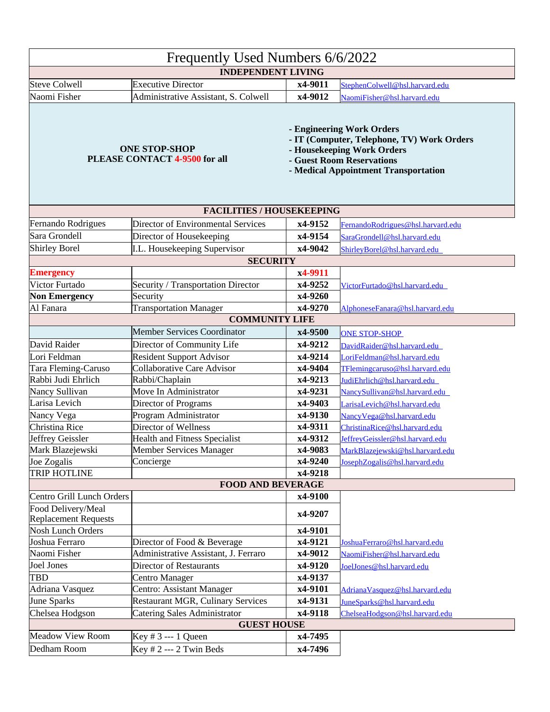| Frequently Used Numbers 6/6/2022                      |                                           |                                                                                                                                                                            |                                   |  |  |
|-------------------------------------------------------|-------------------------------------------|----------------------------------------------------------------------------------------------------------------------------------------------------------------------------|-----------------------------------|--|--|
| <b>INDEPENDENT LIVING</b>                             |                                           |                                                                                                                                                                            |                                   |  |  |
| Steve Colwell                                         | <b>Executive Director</b>                 | x4-9011                                                                                                                                                                    | StephenColwell@hsl.harvard.edu    |  |  |
| Naomi Fisher                                          | Administrative Assistant, S. Colwell      | x4-9012                                                                                                                                                                    | NaomiFisher@hsl.harvard.edu       |  |  |
| <b>ONE STOP-SHOP</b><br>PLEASE CONTACT 4-9500 for all |                                           | - Engineering Work Orders<br>- IT (Computer, Telephone, TV) Work Orders<br>- Housekeeping Work Orders<br>- Guest Room Reservations<br>- Medical Appointment Transportation |                                   |  |  |
| <b>FACILITIES / HOUSEKEEPING</b>                      |                                           |                                                                                                                                                                            |                                   |  |  |
| Fernando Rodrigues                                    | <b>Director of Environmental Services</b> | x4-9152                                                                                                                                                                    | FernandoRodrigues@hsl.harvard.edu |  |  |
| Sara Grondell                                         | Director of Housekeeping                  | x4-9154                                                                                                                                                                    | SaraGrondell@hsl.harvard.edu      |  |  |
| Shirley Borel                                         | I.L. Housekeeping Supervisor              | x4-9042                                                                                                                                                                    | ShirleyBorel@hsl.harvard.edu      |  |  |
| <b>SECURITY</b>                                       |                                           |                                                                                                                                                                            |                                   |  |  |
| <b>Emergency</b>                                      |                                           | x4-9911                                                                                                                                                                    |                                   |  |  |
| Victor Furtado                                        | Security / Transportation Director        | x4-9252                                                                                                                                                                    | VictorFurtado@hsl.harvard.edu     |  |  |
| <b>Non Emergency</b>                                  | Security                                  | x4-9260                                                                                                                                                                    |                                   |  |  |
| Al Fanara                                             | <b>Transportation Manager</b>             | x4-9270                                                                                                                                                                    | AlphoneseFanara@hsl.harvard.edu   |  |  |
|                                                       | <b>COMMUNITY LIFE</b>                     |                                                                                                                                                                            |                                   |  |  |
|                                                       | <b>Member Services Coordinator</b>        | x4-9500                                                                                                                                                                    | <b>ONE STOP-SHOP</b>              |  |  |
| David Raider                                          | Director of Community Life                | x4-9212                                                                                                                                                                    | DavidRaider@hsl.harvard.edu       |  |  |
| Lori Feldman                                          | <b>Resident Support Advisor</b>           | x4-9214                                                                                                                                                                    | LoriFeldman@hsl.harvard.edu       |  |  |
| Tara Fleming-Caruso                                   | <b>Collaborative Care Advisor</b>         | x4-9404                                                                                                                                                                    | TFlemingcaruso@hsl.harvard.edu    |  |  |
| Rabbi Judi Ehrlich                                    | Rabbi/Chaplain                            | x4-9213                                                                                                                                                                    | JudiEhrlich@hsl.harvard.edu       |  |  |
| Nancy Sullivan                                        | Move In Administrator                     | x4-9231                                                                                                                                                                    | NancySullivan@hsl.harvard.edu     |  |  |
| Larisa Levich                                         | <b>Director of Programs</b>               | x4-9403                                                                                                                                                                    | LarisaLevich@hsl.harvard.edu      |  |  |
| Nancy Vega                                            | Program Administrator                     | x4-9130                                                                                                                                                                    | NancyVega@hsl.harvard.edu         |  |  |
| Christina Rice                                        | Director of Wellness                      | x4-9311                                                                                                                                                                    | ChristinaRice@hsl.harvard.edu     |  |  |
| Jeffrey Geissler                                      | <b>Health and Fitness Specialist</b>      | x4-9312                                                                                                                                                                    | JeffreyGeissler@hsl.harvard.edu   |  |  |
| Mark Blazejewski                                      | Member Services Manager                   | x4-9083                                                                                                                                                                    | MarkBlazejewski@hsl.harvard.edu   |  |  |
| Joe Zogalis                                           | Concierge                                 | x4-9240                                                                                                                                                                    | Joseph Zogalis@hsl.harvard.edu    |  |  |
| <b>TRIP HOTLINE</b>                                   |                                           | x4-9218                                                                                                                                                                    |                                   |  |  |
| <b>FOOD AND BEVERAGE</b>                              |                                           |                                                                                                                                                                            |                                   |  |  |
| Centro Grill Lunch Orders                             |                                           | x4-9100                                                                                                                                                                    |                                   |  |  |
| Food Delivery/Meal                                    |                                           |                                                                                                                                                                            |                                   |  |  |
| Replacement Requests                                  |                                           | x4-9207                                                                                                                                                                    |                                   |  |  |
| Nosh Lunch Orders                                     |                                           | x4-9101                                                                                                                                                                    |                                   |  |  |
| Joshua Ferraro                                        | Director of Food & Beverage               | x4-9121                                                                                                                                                                    | JoshuaFerraro@hsl.harvard.edu     |  |  |
| Naomi Fisher                                          | Administrative Assistant, J. Ferraro      | x4-9012                                                                                                                                                                    | NaomiFisher@hsl.harvard.edu       |  |  |
| Joel Jones                                            | Director of Restaurants                   | x4-9120                                                                                                                                                                    | JoelJones@hsl.harvard.edu         |  |  |
| <b>TBD</b>                                            | Centro Manager                            | x4-9137                                                                                                                                                                    |                                   |  |  |
| Adriana Vasquez                                       | Centro: Assistant Manager                 | x4-9101                                                                                                                                                                    | Adriana Vasquez@hsl.harvard.edu   |  |  |
| <b>June Sparks</b>                                    | <b>Restaurant MGR, Culinary Services</b>  | x4-9131                                                                                                                                                                    | JuneSparks@hsl.harvard.edu        |  |  |
| Chelsea Hodgson                                       | <b>Catering Sales Administrator</b>       | x4-9118                                                                                                                                                                    | ChelseaHodgson@hsl.harvard.edu    |  |  |
| <b>GUEST HOUSE</b>                                    |                                           |                                                                                                                                                                            |                                   |  |  |
| <b>Meadow View Room</b>                               | Key # 3 --- 1 Queen                       | x4-7495                                                                                                                                                                    |                                   |  |  |
| Dedham Room                                           | Key $# 2$ --- 2 Twin Beds                 | x4-7496                                                                                                                                                                    |                                   |  |  |